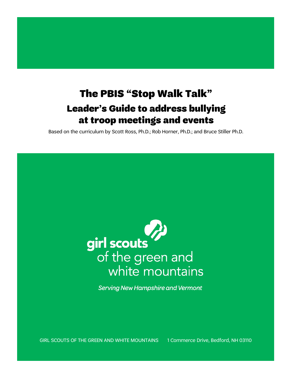# The PBIS "Stop Walk Talk" Leader's Guide to address bullying at troop meetings and events

Based on the curriculum by Scott Ross, Ph.D.; Rob Horner, Ph.D.; and Bruce Stiller Ph.D.

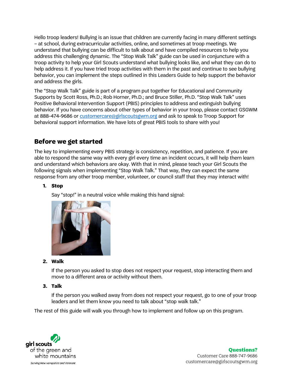Hello troop leaders! Bullying is an issue that children are currently facing in many different settings – at school, during extracurricular activities, online, and sometimes at troop meetings. We understand that bullying can be difficult to talk about and have compiled resources to help you address this challenging dynamic. The "Stop Walk Talk" guide can be used in conjuncture with a troop activity to help your Girl Scouts understand what bullying looks like, and what they can do to help address it. If you have tried troop activities with them in the past and continue to see bullying behavior, you can implement the steps outlined in this Leaders Guide to help support the behavior and address the girls.

The "Stop Walk Talk" guide is part of a program put together for Educational and Community Supports by Scott Ross, Ph.D.; Rob Horner, Ph.D.; and Bruce Stiller, Ph.D. "Stop Walk Talk" uses Positive Behavioral Intervention Support (PBIS) principles to address and extinguish bullying behavior. If you have concerns about other types of behavior in your troop, please contact GSGWM at 888-474-9686 or [customercare@girlscoutsgwm.org](mailto:customercare@girlscoutsgwm.org) and ask to speak to Troop Support for behavioral support information. We have lots of great PBIS tools to share with you!

# **Before we get started**

The key to implementing every PBIS strategy is consistency, repetition, and patience. If you are able to respond the same way with every girl every time an incident occurs, it will help them learn and understand which behaviors are okay. With that in mind, please teach your Girl Scouts the following signals when implementing "Stop Walk Talk." That way, they can expect the same response from any other troop member, volunteer, or council staff that they may interact with!

## **1. Stop**

Say "stop!" in a neutral voice while making this hand signal:



**2. Walk**

If the person you asked to stop does not respect your request, stop interacting them and move to a different area or activity without them.

**3. Talk**

If the person you walked away from does not respect your request, go to one of your troop leaders and let them know you need to talk about "stop walk talk."

The rest of this guide will walk you through how to implement and follow up on this program.

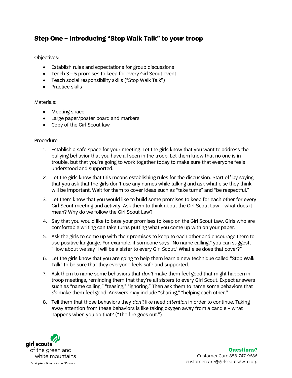## **Step One – Introducing "Stop Walk Talk" to your troop**

Objectives:

- Establish rules and expectations for group discussions
- Teach 3 5 promises to keep for every Girl Scout event
- Teach social responsibility skills ("Stop Walk Talk")
- Practice skills

### Materials:

- Meeting space
- Large paper/poster board and markers
- Copy of the Girl Scout law

### Procedure:

- 1. Establish a safe space for your meeting. Let the girls know that you want to address the bullying behavior that you have all seen in the troop. Let them know that no one is in trouble, but that you're going to work together today to make sure that everyone feels understood and supported.
- 2. Let the girls know that this means establishing rules for the discussion. Start off by saying that you ask that the girls don't use any names while talking and ask what else they think will be important. Wait for them to cover ideas such as "take turns" and "be respectful."
- 3. Let them know that you would like to build some promises to keep for each other for every Girl Scout meeting and activity. Ask them to think about the Girl Scout Law – what does it mean? Why do we follow the Girl Scout Law?
- 4. Say that you would like to base your promises to keep on the Girl Scout Law. Girls who are comfortable writing can take turns putting what you come up with on your paper.
- 5. Ask the girls to come up with their promises to keep to each other and encourage them to use positive language. For example, if someone says "No name calling," you can suggest, "How about we say 'I will be a sister to every Girl Scout.' What else does that cover?"
- 6. Let the girls know that you are going to help them learn a new technique called "Stop Walk Talk" to be sure that they everyone feels safe and supported.
- 7. Ask them to name some behaviors that *don't* make them feel good that might happen in troop meetings, reminding them that they're all sisters to every Girl Scout. Expect answers such as "name calling," "teasing," "ignoring." Then ask them to name some behaviors that *do* make them feel good. Answers may include "sharing," "helping each other."
- 8. Tell them that those behaviors they *don't* like need *attention* in order to continue. Taking away attention from these behaviors is like taking oxygen away from a candle – what happens when you do that? ("The fire goes out.")



#### **Questions?** Customer Care 888-747-9686 customercare@girlscoutsgwm.org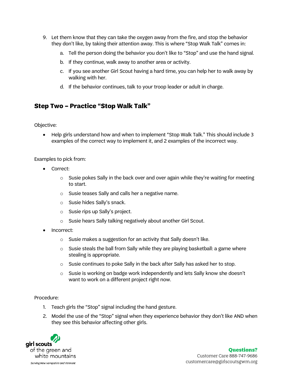- 9. Let them know that they can take the oxygen away from the fire, and stop the behavior they don't like, by taking their attention away. This is where "Stop Walk Talk" comes in:
	- a. Tell the person doing the behavior you don't like to "Stop" and use the hand signal.
	- b. If they continue, walk away to another area or activity.
	- c. If you see another Girl Scout having a hard time, you can help her to walk away by walking with her.
	- d. If the behavior continues, talk to your troop leader or adult in charge.

## **Step Two – Practice "Stop Walk Talk"**

Objective:

• Help girls understand how and when to implement "Stop Walk Talk." This should include 3 examples of the correct way to implement it, and 2 examples of the incorrect way.

Examples to pick from:

- Correct:
	- $\circ$  Susie pokes Sally in the back over and over again while they're waiting for meeting to start.
	- o Susie teases Sally and calls her a negative name.
	- o Susie hides Sally's snack.
	- o Susie rips up Sally's project.
	- o Susie hears Sally talking negatively about another Girl Scout.
- Incorrect:
	- o Susie makes a suggestion for an activity that Sally doesn't like.
	- $\circ$  Susie steals the ball from Sally while they are playing basketball: a game where stealing is appropriate.
	- o Susie continues to poke Sally in the back after Sally has asked her to stop.
	- o Susie is working on badge work independently and lets Sally know she doesn't want to work on a different project right now.

#### Procedure:

- 1. Teach girls the "Stop" signal including the hand gesture.
- 2. Model the use of the "Stop" signal when they experience behavior they don't like AND when they see this behavior affecting other girls.

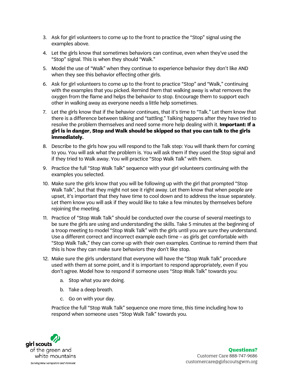- 3. Ask for girl volunteers to come up to the front to practice the "Stop" signal using the examples above.
- 4. Let the girls know that sometimes behaviors can continue, even when they've used the "Stop" signal. This is when they should "Walk."
- 5. Model the use of "Walk" when they continue to experience behavior they don't like AND when they see this behavior effecting other girls.
- 6. Ask for girl volunteers to come up to the front to practice "Stop" and "Walk," continuing with the examples that you picked. Remind them that walking away is what removes the oxygen from the flame and helps the behavior to stop. Encourage them to support each other in walking away as everyone needs a little help sometimes.
- 7. Let the girls know that if the behavior continues, that it's time to "Talk." Let them know that there is a difference between talking and "tattling." Talking happens after they have tried to resolve the problem themselves and need some more help dealing with it. **Important: If a girl is in danger, Stop and Walk should be skipped so that you can talk to the girls immediately.**
- 8. Describe to the girls how you will respond to the Talk step: You will thank them for coming to you. You will ask what the problem is. You will ask them if they used the Stop signal and if they tried to Walk away. You will practice "Stop Walk Talk" with them.
- 9. Practice the full "Stop Walk Talk" sequence with your girl volunteers continuing with the examples you selected.
- 10. Make sure the girls know that you will be following up with the girl that prompted "Stop Walk Talk", but that they might not see it right away. Let them know that when people are upset, it's important that they have time to cool down and to address the issue separately. Let them know you will ask if they would like to take a few minutes by themselves before rejoining the meeting.
- 11. Practice of "Stop Walk Talk" should be conducted over the course of several meetings to be sure the girls are using and understanding the skills. Take 5 minutes at the beginning of a troop meeting to model "Stop Walk Talk" with the girls until you are sure they understand. Use a different correct and incorrect example each time – as girls get comfortable with "Stop Walk Talk," they can come up with their own examples. Continue to remind them that this is how they can make sure behaviors they don't like stop.
- 12. Make sure the girls understand that everyone will have the "Stop Walk Talk" procedure used with them at some point, and it is important to respond appropriately, even if you don't agree. Model how to respond if someone uses "Stop Walk Talk" towards you:
	- a. Stop what you are doing.
	- b. Take a deep breath.
	- c. Go on with your day.

Practice the full "Stop Walk Talk" sequence one more time, this time including how to respond when someone uses "Stop Walk Talk" towards you.



#### **Questions?** Customer Care 888-747-9686 customercare@girlscoutsgwm.org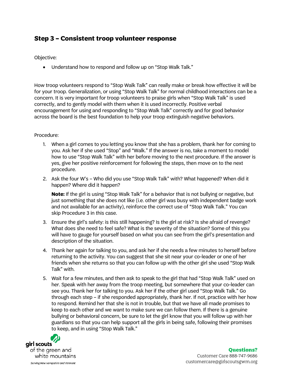## **Step 3 – Consistent troop volunteer response**

Objective:

• Understand how to respond and follow up on "Stop Walk Talk."

How troop volunteers respond to "Stop Walk Talk" can really make or break how effective it will be for your troop. Generalization, or using "Stop Walk Talk" for normal childhood interactions can be a concern. It is very important for troop volunteers to praise girls when "Stop Walk Talk" is used correctly, and to gently model with them when it is used incorrectly. Positive verbal encouragement for using and responding to "Stop Walk Talk" correctly and for good behavior across the board is the best foundation to help your troop extinguish negative behaviors.

## Procedure:

- 1. When a girl comes to you letting you know that she has a problem, thank her for coming to you. Ask her if she used "Stop" and "Walk." If the answer is no, take a moment to model how to use "Stop Walk Talk" with her before moving to the next procedure. If the answer is yes, give her positive reinforcement for following the steps, then move on to the next procedure.
- 2. Ask the four W's Who did you use "Stop Walk Talk" with? What happened? When did it happen? Where did it happen?

**Note:** If the girl is using "Stop Walk Talk" for a behavior that is not bullying or negative, but just something that she does not like (i.e. other girl was busy with independent badge work and not available for an activity), reinforce the correct use of "Stop Walk Talk." You can skip Procedure 3 in this case.

- 3. Ensure the girl's safety: is this still happening? Is the girl at risk? Is she afraid of revenge? What does she need to feel safe? What is the severity of the situation? Some of this you will have to gauge for yourself based on what you can see from the girl's presentation and description of the situation.
- 4. Thank her again for talking to you, and ask her if she needs a few minutes to herself before returning to the activity. You can suggest that she sit near your co-leader or one of her friends when she returns so that you can follow up with the other girl she used "Stop Walk Talk" with.
- 5. Wait for a few minutes, and then ask to speak to the girl that had "Stop Walk Talk" used on her. Speak with her away from the troop meeting, but somewhere that your co-leader can see you. Thank her for talking to you. Ask her if the other girl used "Stop Walk Talk." Go through each step – if she responded appropriately, thank her. If not, practice with her how to respond. Remind her that she is not in trouble, but that we have all made promises to keep to each other and we want to make sure we can follow them. If there is a genuine bullying or behavioral concern, be sure to let the girl know that you will follow up with her guardians so that you can help support all the girls in being safe, following their promises to keep, and in using "Stop Walk Talk."



## **Questions?**

Customer Care 888-747-9686 customercare@girlscoutsgwm.org